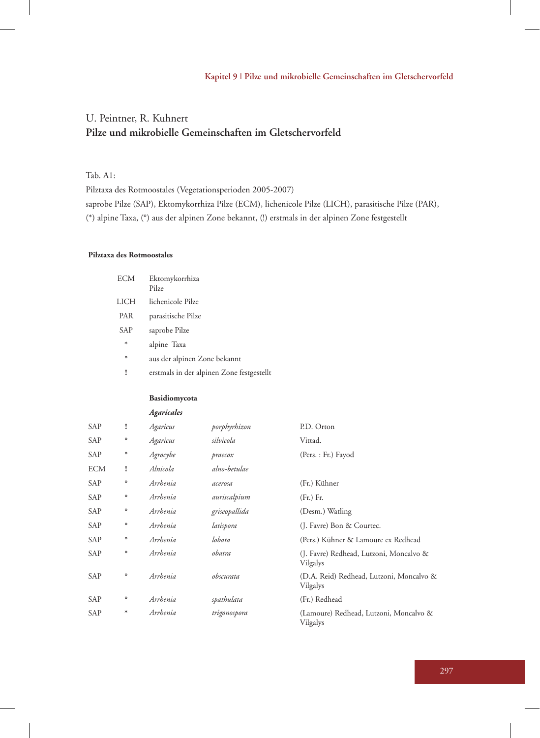# U. Peintner, R. Kuhnert **Pilze und mikrobielle Gemeinschaften im Gletschervorfeld**

Tab. A1:

Pilztaxa des Rotmoostales (Vegetationsperioden 2005-2007) saprobe Pilze (SAP), Ektomykorrhiza Pilze (ECM), lichenicole Pilze (LICH), parasitische Pilze (PAR), (\*) alpine Taxa, (°) aus der alpinen Zone bekannt, (!) erstmals in der alpinen Zone festgestellt

#### **Pilztaxa des Rotmoostales**

| <b>ECM</b>  | Ektomykorrhiza<br>Pilze                   |
|-------------|-------------------------------------------|
| <b>LICH</b> | lichenicole Pilze                         |
| PAR         | parasitische Pilze                        |
| SAP         | saprobe Pilze                             |
| $\ast$      | alpine Taxa                               |
| $\circ$     | aus der alpinen Zone bekannt              |
| ı           | erstmals in der alpinen Zone festgestellt |

#### **Basidiomycota**

|            |         | Agaricales |               |                                                      |
|------------|---------|------------|---------------|------------------------------------------------------|
| <b>SAP</b> | ı       | Agaricus   | porphyrhizon  | P.D. Orton                                           |
| SAP        | о       | Agaricus   | silvicola     | Vittad.                                              |
| SAP        | о       | Agrocybe   | praecox       | (Pers.: Fr.) Fayod                                   |
| <b>ECM</b> | Ţ       | Alnicola   | alno-betulae  |                                                      |
| <b>SAP</b> | о       | Arrhenia   | acerosa       | (Fr.) Kühner                                         |
| SAP        | о       | Arrhenia   | auriscalpium  | (Fr.) Fr.                                            |
| SAP        | $\circ$ | Arrhenia   | griseopallida | (Desm.) Watling                                      |
| <b>SAP</b> | о       | Arrhenia   | latispora     | (J. Favre) Bon & Courtec.                            |
| <b>SAP</b> | $\circ$ | Arrhenia   | lobata        | (Pers.) Kühner & Lamoure ex Redhead                  |
| SAP        | o       | Arrhenia   | obatra        | (J. Favre) Redhead, Lutzoni, Moncalvo &<br>Vilgalys  |
| <b>SAP</b> | o       | Arrhenia   | obscurata     | (D.A. Reid) Redhead, Lutzoni, Moncalvo &<br>Vilgalys |
| <b>SAP</b> | o       | Arrhenia   | spathulata    | (Fr.) Redhead                                        |
| SAP        | $\ast$  | Arrhenia   | trigonospora  | (Lamoure) Redhead, Lutzoni, Moncalvo &<br>Vilgalys   |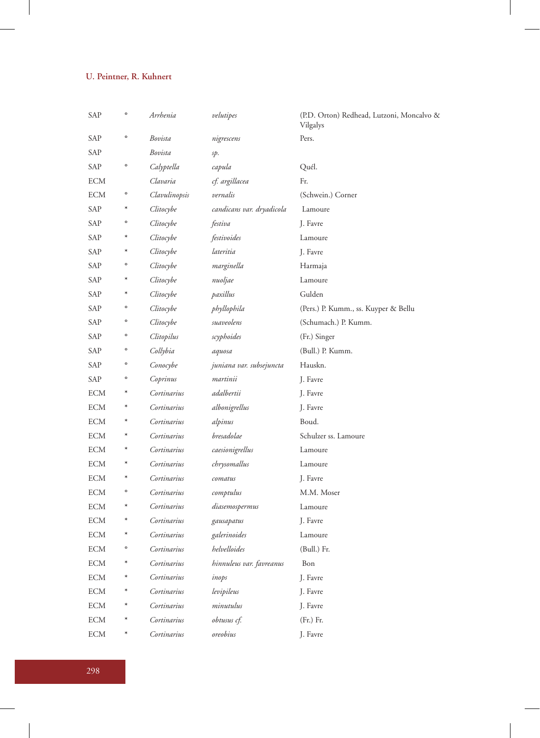| SAP        | $\circ$ | Arrhenia      | velutipes                 | (P.D. Orton) Redhead, Lutzoni, Moncalvo &<br>Vilgalys |
|------------|---------|---------------|---------------------------|-------------------------------------------------------|
| SAP        | $\circ$ | Bovista       | nigrescens                | Pers.                                                 |
| SAP        |         | Bovista       | sp.                       |                                                       |
| <b>SAP</b> | $\circ$ | Calyptella    | capula                    | Quél.                                                 |
| ECM        |         | Clavaria      | cf. argillacea            | Fr.                                                   |
| <b>ECM</b> | o       | Clavulinopsis | vernalis                  | (Schwein.) Corner                                     |
| SAP        | $\ast$  | Clitocybe     | candicans var. dryadicola | Lamoure                                               |
| SAP        | $\circ$ | Clitocybe     | festiva                   | J. Favre                                              |
| SAP        | $\ast$  | Clitocybe     | festivoides               | Lamoure                                               |
| SAP        | ∗       | Clitocybe     | lateritia                 | J. Favre                                              |
| SAP        | $\circ$ | Clitocybe     | marginella                | Harmaja                                               |
| SAP        | ∗       | Clitocybe     | nuoljae                   | Lamoure                                               |
| SAP        | $\ast$  | Clitocybe     | paxillus                  | Gulden                                                |
| SAP        | $\circ$ | Clitocybe     | phyllophila               | (Pers.) P. Kumm., ss. Kuyper & Bellu                  |
| SAP        | $\circ$ | Clitocybe     | suaveolens                | (Schumach.) P. Kumm.                                  |
| SAP        | $\circ$ | Clitopilus    | scyphoides                | (Fr.) Singer                                          |
| SAP        | o       | Collybia      | aquosa                    | (Bull.) P. Kumm.                                      |
| SAP        | $\circ$ | Conocybe      | juniana var. subsejuncta  | Hauskn.                                               |
| SAP        | o       | Coprinus      | martinii                  | J. Favre                                              |
| ECM        | ∗       | Cortinarius   | adalbertii                | J. Favre                                              |
| ECM        | ∗       | Cortinarius   | albonigrellus             | J. Favre                                              |
| ECM        | $\ast$  | Cortinarius   | alpinus                   | Boud.                                                 |
| ECM        | $\ast$  | Cortinarius   | bresadolae                | Schulzer ss. Lamoure                                  |
| ECM        | $\ast$  | Cortinarius   | caesionigrellus           | Lamoure                                               |
| ECM        | $\ast$  | Cortinarius   | chrysomallus              | Lamoure                                               |
| ECM        | ∗       | Cortinarius   | comatus                   | J. Favre                                              |
| ECM        | $\circ$ | Cortinarius   | comptulus                 | M.M. Moser                                            |
| ECM        | $\ast$  | Cortinarius   | diasemospermus            | Lamoure                                               |
| ECM        | $\ast$  | Cortinarius   | gausapatus                | J. Favre                                              |
| ECM        | $\ast$  | Cortinarius   | galerinoides              | Lamoure                                               |
| ECM        | $\circ$ | Cortinarius   | helvelloides              | (Bull.) Fr.                                           |
| <b>ECM</b> | $\ast$  | Cortinarius   | hinnuleus var. favreanus  | Bon                                                   |
| <b>ECM</b> |         | Cortinarius   | inops                     | J. Favre                                              |
| <b>ECM</b> |         | Cortinarius   | levipileus                | J. Favre                                              |
| <b>ECM</b> | $\ast$  | Cortinarius   | minutulus                 | J. Favre                                              |
| <b>ECM</b> | $\ast$  | Cortinarius   | obtusus cf.               | (Fr.) Fr.                                             |
| <b>ECM</b> | $\ast$  | Cortinarius   | oreobius                  | J. Favre                                              |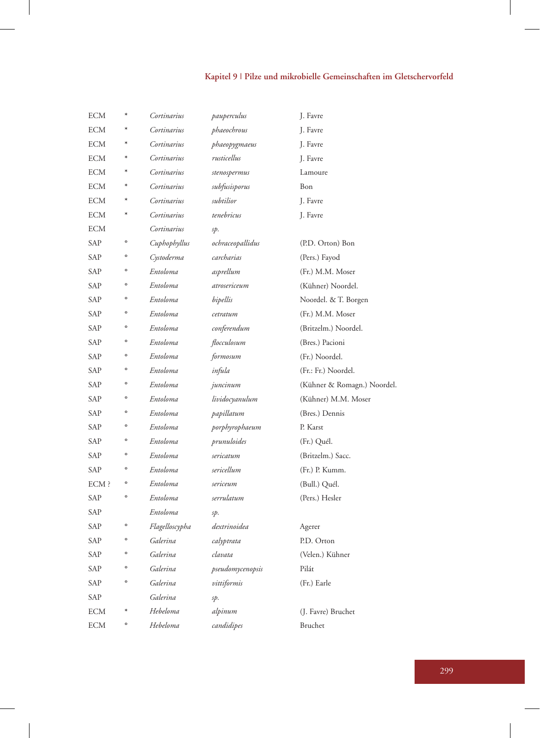# **Kapitel 9 | Pilze und mikrobielle Gemeinschaften im Gletschervorfeld**

| <b>ECM</b> | $\ast$       | Cortinarius    | pauperculus      | J. Favre                    |
|------------|--------------|----------------|------------------|-----------------------------|
| ECM        |              | Cortinarius    | phaeochrous      | J. Favre                    |
| ECM        | $\ast$       | Cortinarius    | phaeopygmaeus    | J. Favre                    |
| ECM        | ∗            | Cortinarius    | rusticellus      | J. Favre                    |
| ECM        |              | Cortinarius    | stenospermus     | Lamoure                     |
| ECM        |              | Cortinarius    | subfusisporus    | Bon                         |
| ECM        |              | Cortinarius    | subtilior        | J. Favre                    |
| ECM        | $\ast$       | Cortinarius    | tenebricus       | J. Favre                    |
| <b>ECM</b> |              | Cortinarius    | sp.              |                             |
| SAP        | $\circ$      | Cuphophyllus   | ochraceopallidus | (P.D. Orton) Bon            |
| SAP        | $\circ$      | Cystoderma     | carcharias       | (Pers.) Fayod               |
| SAP        | $\circ$      | Entoloma       | asprellum        | (Fr.) M.M. Moser            |
| SAP        | $\circ$      | Entoloma       | atrosericeum     | (Kühner) Noordel.           |
| SAP        | $\circ$      | Entoloma       | bipellis         | Noordel. & T. Borgen        |
| SAP        | $\circ$      | Entoloma       | cetratum         | (Fr.) M.M. Moser            |
| SAP        | $\mathbf{o}$ | Entoloma       | conferendum      | (Britzelm.) Noordel.        |
| SAP        | $\circ$      | Entoloma       | flocculosum      | (Bres.) Pacioni             |
| SAP        | $\circ$      | Entoloma       | formosum         | (Fr.) Noordel.              |
| SAP        | $\circ$      | Entoloma       | infula           | (Fr.: Fr.) Noordel.         |
| SAP        | $\circ$      | Entoloma       | juncinum         | (Kühner & Romagn.) Noordel. |
| SAP        | $\circ$      | Entoloma       | lividocyanulum   | (Kühner) M.M. Moser         |
| SAP        | $\circ$      | Entoloma       | papillatum       | (Bres.) Dennis              |
| SAP        | $\circ$      | Entoloma       | porphyrophaeum   | P. Karst                    |
| SAP        | $\mathbf{o}$ | Entoloma       | prunuloides      | (Fr.) Quél.                 |
| SAP        | $\mathbf{o}$ | Entoloma       | sericatum        | (Britzelm.) Sacc.           |
| SAP        | $\circ$      | Entoloma       | sericellum       | (Fr.) P. Kumm.              |
| ECM ?      | $\circ$      | Entoloma       | sericeum         | (Bull.) Quél.               |
| SAP        | $\mathbf{o}$ | Entoloma       | serrulatum       | (Pers.) Hesler              |
| SAP        |              | Entoloma       | sp.              |                             |
| SAP        | $\circ$      | Flagelloscypha | dextrinoidea     | Agerer                      |
| SAP        | $\circ$      | Galerina       | calyptrata       | P.D. Orton                  |
| SAP        | $\circ$      | Galerina       | clavata          | (Velen.) Kühner             |
| SAP        | $\circ$      | Galerina       | pseudomycenopsis | Pilát                       |
| SAP        | $\mathbf{o}$ | Galerina       | vittiformis      | (Fr.) Earle                 |
| SAP        |              | Galerina       | sp.              |                             |
| ECM        |              | Hebeloma       | alpinum          | (J. Favre) Bruchet          |
| <b>ECM</b> | $\circ$      | Hebeloma       | candidipes       | Bruchet                     |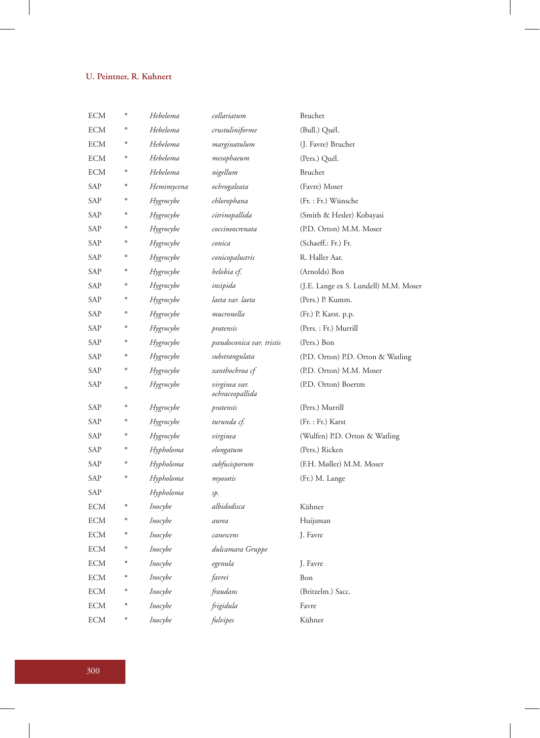| ECM        | $\circ$ | Hebeloma   | collariatum                      | Bruchet                               |
|------------|---------|------------|----------------------------------|---------------------------------------|
| ECM        | $\circ$ | Hebeloma   | crustuliniforme                  | (Bull.) Quél.                         |
| <b>ECM</b> | $\ast$  | Hebeloma   | marginatulum                     | (J. Favre) Bruchet                    |
| ECM        | $\circ$ | Hebeloma   | mesophaeum                       | (Pers.) Quél.                         |
| ECM        | $\circ$ | Hebeloma   | nigellum                         | Bruchet                               |
| SAP        |         | Hemimycena | ochrogaleata                     | (Favre) Moser                         |
| SAP        | $\circ$ | Hygrocybe  | chlorophana                      | (Fr. : Fr.) Wünsche                   |
| SAP        |         | Hygrocybe  | citrinopallida                   | (Smith & Hesler) Kobayasi             |
| SAP        | $\circ$ | Hygrocybe  | coccineocrenata                  | (P.D. Orton) M.M. Moser               |
| SAP        | $\circ$ | Hygrocybe  | conica                           | (Schaeff.: Fr.) Fr.                   |
| SAP        | $\circ$ | Hygrocybe  | conicopalustris                  | R. Haller Aar.                        |
| SAP        | $\circ$ | Hygrocybe  | helobia cf.                      | (Arnolds) Bon                         |
| SAP        | $\circ$ | Hygrocybe  | insipida                         | (J.E. Lange ex S. Lundell) M.M. Moser |
| SAP        | $\circ$ | Hygrocybe  | laeta var. laeta                 | (Pers.) P. Kumm.                      |
| SAP        | $\circ$ | Hygrocybe  | mucronella                       | (Fr.) P. Karst. p.p.                  |
| SAP        | $\circ$ | Hygrocybe  | pratensis                        | (Pers. : Fr.) Murrill                 |
| SAP        | $\circ$ | Hygrocybe  | pseudoconica var. tristis        | (Pers.) Bon                           |
| SAP        | $\circ$ | Hygrocybe  | substrangulata                   | (P.D. Orton) P.D. Orton & Watling     |
| SAP        | $\circ$ | Hygrocybe  | xanthochroa cf                   | (P.D. Orton) M.M. Moser               |
| SAP        | $\circ$ | Hygrocybe  | virginea var.<br>ochraceopallida | (P.D. Orton) Boertm                   |
| SAP        | $\circ$ | Hygrocybe  | pratensis                        | (Pers.) Murrill                       |
| SAP        | $\circ$ | Hygrocybe  | turunda cf.                      | (Fr. : Fr.) Karst                     |
| SAP        | $\circ$ | Hygrocybe  | virginea                         | (Wulfen) P.D. Orton & Watling         |
| SAP        | $\circ$ | Hypholoma  | elongatum                        | (Pers.) Ricken                        |
| SAP        | $\circ$ | Hypholoma  | subfusisporum                    | (F.H. Møller) M.M. Moser              |
| SAP        | $\circ$ | Hypholoma  | myosotis                         | (Fr.) M. Lange                        |
| SAP        |         | Hypholoma  | sp.                              |                                       |
| ECM        |         | Inocybe    | albidodisca                      | Kühner                                |
| ECM        | $\circ$ | Inocybe    | aurea                            | Huijsman                              |
| ECM        |         | Inocybe    | canescens                        | J. Favre                              |
| <b>ECM</b> | $\circ$ | Inocybe    | dulcamara Gruppe                 |                                       |
| <b>ECM</b> | ∗       | Inocybe    | egenula                          | J. Favre                              |
| ECM        | ∗       | Inocybe    | favrei                           | Bon                                   |
| ECM        | $\circ$ | Inocybe    | fraudans                         | (Britzelm.) Sacc.                     |
| ECM        |         | Inocybe    | frigidula                        | Favre                                 |
| ECM        | $\ast$  | Inocybe    | fulvipes                         | Kühner                                |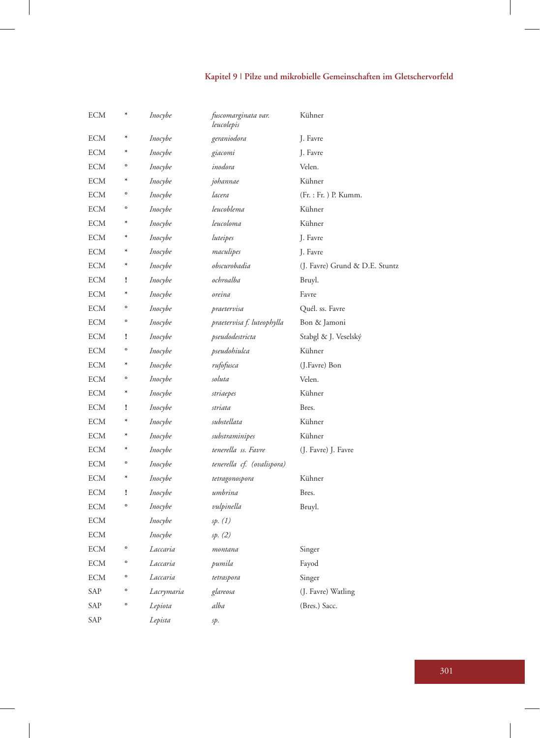# **Kapitel 9 | Pilze und mikrobielle Gemeinschaften im Gletschervorfeld**

| <b>ECM</b> | $\ast$       | Inocybe    | fuscomarginata var.<br>leucolepis | Kühner                         |
|------------|--------------|------------|-----------------------------------|--------------------------------|
| <b>ECM</b> | $\ast$       | Inocybe    | geraniodora                       | J. Favre                       |
| <b>ECM</b> | $\ast$       | Inocybe    | giacomi                           | J. Favre                       |
| <b>ECM</b> | $\circ$      | Inocybe    | inodora                           | Velen.                         |
| <b>ECM</b> | $\ast$       | Inocybe    | johannae                          | Kühner                         |
| <b>ECM</b> | $\circ$      | Inocybe    | lacera                            | (Fr. : Fr. ) P. Kumm.          |
| <b>ECM</b> | $\circ$      | Inocybe    | leucoblema                        | Kühner                         |
| ECM        | ∗            | Inocybe    | leucoloma                         | Kühner                         |
| <b>ECM</b> | $\ast$       | Inocybe    | luteipes                          | J. Favre                       |
| <b>ECM</b> | ∗            | Inocybe    | maculipes                         | J. Favre                       |
| <b>ECM</b> | $\ast$       | Inocybe    | obscurobadia                      | (J. Favre) Grund & D.E. Stuntz |
| <b>ECM</b> | I            | Inocybe    | ochroalba                         | Bruyl.                         |
| <b>ECM</b> | $\ast$       | Inocybe    | oreina                            | Favre                          |
| ECM        | $\mathbf{o}$ | Inocybe    | praetervisa                       | Quél. ss. Favre                |
| <b>ECM</b> | $\mathbf{o}$ | Inocybe    | praetervisa f. luteophylla        | Bon & Jamoni                   |
| ECM        | I            | Inocybe    | pseudodestricta                   | Stabgl & J. Veselský           |
| ECM        | $\circ$      | Inocybe    | pseudohiulca                      | Kühner                         |
| ECM        | $\ast$       | Inocybe    | rufofusca                         | (J.Favre) Bon                  |
| ECM        | $\circ$      | Inocybe    | soluta                            | Velen.                         |
| <b>ECM</b> | $\ast$       | Inocybe    | striaepes                         | Kühner                         |
| <b>ECM</b> | I            | Inocybe    | striata                           | Bres.                          |
| ECM        | $\ast$       | Inocybe    | substellata                       | Kühner                         |
| ECM        | $\ast$       | Inocybe    | substraminipes                    | Kühner                         |
| ECM        | $\ast$       | Inocybe    | tenerella ss. Favre               | (J. Favre) J. Favre            |
| ECM        | $\circ$      | Inocybe    | tenerella cf. (ovalispora)        |                                |
| ECM        | $\ast$       | Inocybe    | tetragonospora                    | Kühner                         |
| <b>ECM</b> | ı            | Inocybe    | umbrina                           | Bres.                          |
| ECM        | $\circ$      | Inocybe    | vulpinella                        | Bruyl.                         |
| ECM        |              | Inocybe    | sp. (1)                           |                                |
| ECM        |              | Inocybe    | sp. (2)                           |                                |
| <b>ECM</b> | $\circ$      | Laccaria   | montana                           | Singer                         |
| <b>ECM</b> | $\circ$      | Laccaria   | pumila                            | Fayod                          |
| <b>ECM</b> | $\circ$      | Laccaria   | tetraspora                        | Singer                         |
| SAP        | $\mathbf{o}$ | Lacrymaria | glareosa                          | (J. Favre) Watling             |
| SAP        | $\circ$      | Lepiota    | alba                              | (Bres.) Sacc.                  |
| SAP        |              | Lepista    | sp.                               |                                |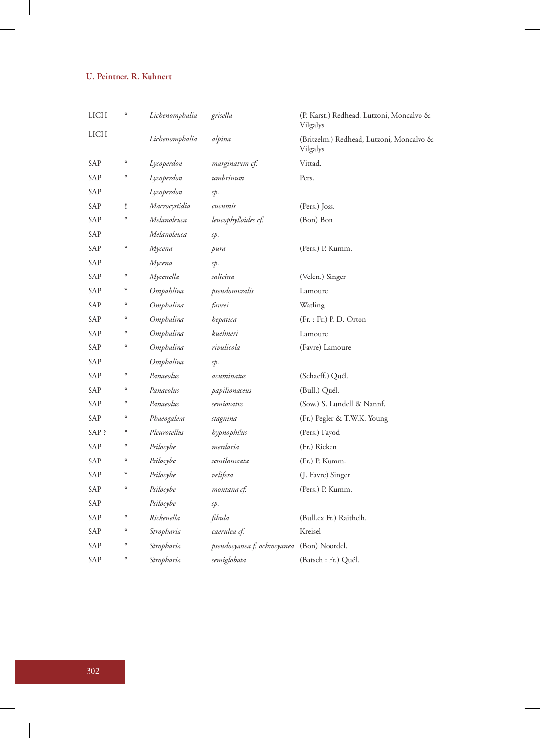| LICH  | $\circ$      | Lichenomphalia | grisella                    | (P. Karst.) Redhead, Lutzoni, Moncalvo &<br>Vilgalys |
|-------|--------------|----------------|-----------------------------|------------------------------------------------------|
| LICH  |              | Lichenomphalia | alpina                      | (Britzelm.) Redhead, Lutzoni, Moncalvo &<br>Vilgalys |
| SAP   | $\circ$      | Lycoperdon     | marginatum cf.              | Vittad.                                              |
| SAP   | o            | Lycoperdon     | umbrinum                    | Pers.                                                |
| SAP   |              | Lycoperdon     | sp.                         |                                                      |
| SAP   | I            | Macrocystidia  | cucumis                     | (Pers.) Joss.                                        |
| SAP   | o            | Melanoleuca    | leucophylloides cf.         | (Bon) Bon                                            |
| SAP   |              | Melanoleuca    | sp.                         |                                                      |
| SAP   | o            | Мусепа         | pura                        | (Pers.) P. Kumm.                                     |
| SAP   |              | Мусепа         | sp.                         |                                                      |
| SAP   | $\circ$      | Mycenella      | salicina                    | (Velen.) Singer                                      |
| SAP   | $\ast$       | Ompahlina      | pseudomuralis               | Lamoure                                              |
| SAP   | $\circ$      | Omphalina      | favrei                      | Watling                                              |
| SAP   | o            | Omphalina      | hepatica                    | $(Fr. : Fr.)$ P. D. Orton                            |
| SAP   | o            | Omphalina      | kuehneri                    | Lamoure                                              |
| SAP   | $\circ$      | Omphalina      | rivulicola                  | (Favre) Lamoure                                      |
| SAP   |              | Omphalina      | sp.                         |                                                      |
| SAP   | $\circ$      | Panaeolus      | acuminatus                  | (Schaeff.) Quél.                                     |
| SAP   | $\circ$      | Panaeolus      | papilionaceus               | (Bull.) Quél.                                        |
| SAP   | $\circ$      | Panaeolus      | semiovatus                  | (Sow.) S. Lundell & Nannf.                           |
| SAP   | $\circ$      | Phaeogalera    | stagnina                    | (Fr.) Pegler & T.W.K. Young                          |
| SAP ? | $\circ$      | Pleurotellus   | hypnophilus                 | (Pers.) Fayod                                        |
| SAP   | o            | Psilocybe      | merdaria                    | (Fr.) Ricken                                         |
| SAP   | $\circ$      | Psilocybe      | semilanceata                | (Fr.) P. Kumm.                                       |
| SAP   | $\ast$       | Psilocybe      | velifera                    | (J. Favre) Singer                                    |
| SAP   | o            | Psilocybe      | montana cf.                 | (Pers.) P. Kumm.                                     |
| SAP   |              | Psilocybe      | sp.                         |                                                      |
| SAP   | $\circ$      | Rickenella     | fibula                      | (Bull.ex Fr.) Raithelh.                              |
| SAP   | o            | Stropharia     | caerulea cf.                | Kreisel                                              |
| SAP   | $\circ$      | Stropharia     | pseudocyanea f. ochrocyanea | (Bon) Noordel.                                       |
| SAP   | $\mathbf{o}$ | Stropharia     | semiglobata                 | (Batsch: Fr.) Quél.                                  |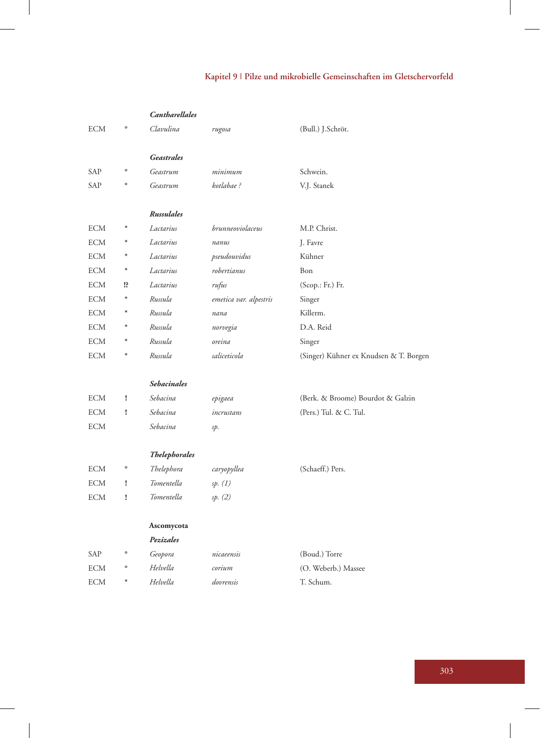# **Kapitel 9 | Pilze und mikrobielle Gemeinschaften im Gletschervorfeld**

|            |         | <b>Cantharellales</b> |                        |                                        |
|------------|---------|-----------------------|------------------------|----------------------------------------|
| ECM        | $\circ$ | Clavulina             | rugosa                 | (Bull.) J.Schröt.                      |
|            |         |                       |                        |                                        |
|            |         | Geastrales            |                        |                                        |
| SAP        | $\circ$ | Geastrum              | minimum                | Schwein.                               |
| SAP        | $\circ$ | Geastrum              | kotlabae?              | V.J. Stanek                            |
|            |         |                       |                        |                                        |
|            |         | Russulales            |                        |                                        |
| <b>ECM</b> | $\ast$  | Lactarius             | brunneoviolaceus       | M.P. Christ.                           |
| <b>ECM</b> | $\ast$  | Lactarius             | nanus                  | J. Favre                               |
| ECM        | $\ast$  | Lactarius             | pseudouvidus           | Kühner                                 |
| <b>ECM</b> | $\ast$  | Lactarius             | robertianus            | Bon                                    |
| ECM        | 1?      | Lactarius             | rufus                  | $(Scop.: Fr.)$ Fr.                     |
| <b>ECM</b> | $\ast$  | Russula               | emetica var. alpestris | Singer                                 |
| <b>ECM</b> | $\ast$  | Russula               | nana                   | Killerm.                               |
| ECM        | $\ast$  | Russula               | norvegia               | D.A. Reid                              |
| <b>ECM</b> | $\ast$  | Russula               | oreina                 | Singer                                 |
| <b>ECM</b> | $\ast$  | Russula               | saliceticola           | (Singer) Kühner ex Knudsen & T. Borgen |
|            |         |                       |                        |                                        |
|            |         | <b>Sebacinales</b>    |                        |                                        |
| ECM        | ï       | Sebacina              | epigaea                | (Berk. & Broome) Bourdot & Galzin      |
| <b>ECM</b> | ï       | Sebacina              | incrustans             | (Pers.) Tul. & C. Tul.                 |
| <b>ECM</b> |         | Sebacina              | sp.                    |                                        |
|            |         |                       |                        |                                        |
|            |         | <b>Thelephorales</b>  |                        |                                        |
| <b>ECM</b> | $\circ$ | Thelephora            | caryopyllea            | (Schaeff.) Pers.                       |
| <b>ECM</b> | Ţ       | Tomentella            | sp. (1)                |                                        |
| <b>ECM</b> | ï       | Tomentella            | sp. (2)                |                                        |
|            |         |                       |                        |                                        |
|            |         | Ascomycota            |                        |                                        |
|            |         | Pezizales             |                        |                                        |
| SAP        | $\circ$ | Geopora               | nicaeensis             | (Boud.) Torre                          |
| <b>ECM</b> | $\circ$ | Helvella              | corium                 | (O. Weberb.) Massee                    |
| <b>ECM</b> | $\ast$  | Helvella              | dovrensis              | T. Schum.                              |